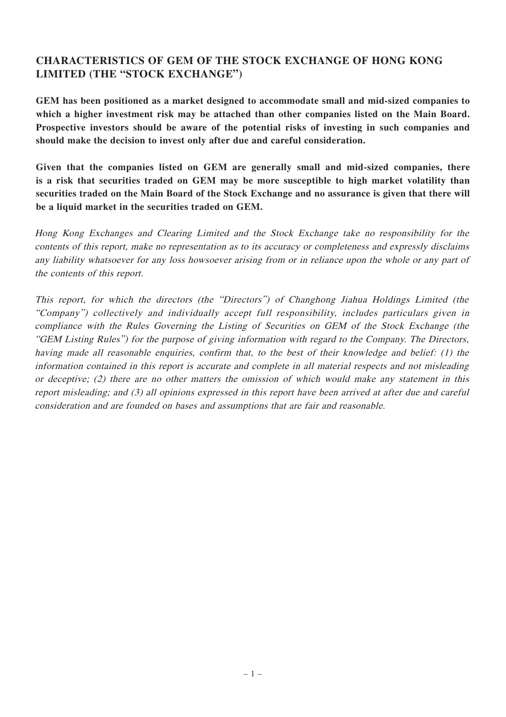# **CHARACTERISTICS OF GEM OF THE STOCK EXCHANGE OF HONG KONG LIMITED (THE "STOCK EXCHANGE")**

**GEM has been positioned as a market designed to accommodate small and mid-sized companies to which a higher investment risk may be attached than other companies listed on the Main Board. Prospective investors should be aware of the potential risks of investing in such companies and should make the decision to invest only after due and careful consideration.**

**Given that the companies listed on GEM are generally small and mid-sized companies, there is a risk that securities traded on GEM may be more susceptible to high market volatility than** securities traded on the Main Board of the Stock Exchange and no assurance is given that there will **be a liquid market in the securities traded on GEM.**

Hong Kong Exchanges and Clearing Limited and the Stock Exchange take no responsibility for the contents of this report, make no representation as to its accuracy or completeness and expressly disclaims any liability whatsoever for any loss howsoever arising from or in reliance upon the whole or any part of the contents of this report.

This report, for which the directors (the "Directors") of Changhong Jiahua Holdings Limited (the "Company") collectively and individually accept full responsibility, includes particulars given in compliance with the Rules Governing the Listing of Securities on GEM of the Stock Exchange (the "GEM Listing Rules") for the purpose of giving information with regard to the Company. The Directors, having made all reasonable enquiries, confirm that, to the best of their knowledge and belief: (1) the information contained in this report is accurate and complete in all material respects and not misleading or deceptive; (2) there are no other matters the omission of which would make any statement in this report misleading; and (3) all opinions expressed in this report have been arrived at after due and careful consideration and are founded on bases and assumptions that are fair and reasonable.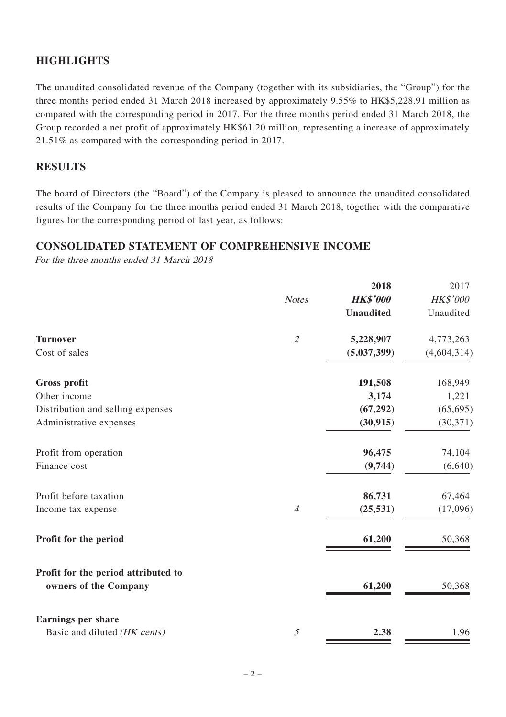# **HIGHLIGHTS**

The unaudited consolidated revenue of the Company (together with its subsidiaries, the "Group") for the three months period ended 31 March 2018 increased by approximately 9.55% to HK\$5,228.91 million as compared with the corresponding period in 2017. For the three months period ended 31 March 2018, the Group recorded a net profit of approximately HK\$61.20 million, representing a increase of approximately 21.51% as compared with the corresponding period in 2017.

## **RESULTS**

The board of Directors (the "Board") of the Company is pleased to announce the unaudited consolidated results of the Company for the three months period ended 31 March 2018, together with the comparative figures for the corresponding period of last year, as follows:

### **CONSOLIDATED STATEMENT OF COMPREHENSIVE INCOME**

For the three months ended 31 March 2018

|                | 2018             | 2017            |
|----------------|------------------|-----------------|
| <b>Notes</b>   | <b>HK\$'000</b>  | <b>HK\$'000</b> |
|                | <b>Unaudited</b> | Unaudited       |
| $\overline{2}$ | 5,228,907        | 4,773,263       |
|                | (5,037,399)      | (4,604,314)     |
|                | 191,508          | 168,949         |
|                | 3,174            | 1,221           |
|                | (67, 292)        | (65, 695)       |
|                | (30, 915)        | (30, 371)       |
|                | 96,475           | 74,104          |
|                | (9,744)          | (6,640)         |
|                | 86,731           | 67,464          |
| $\overline{4}$ | (25, 531)        | (17,096)        |
|                | 61,200           | 50,368          |
|                |                  |                 |
|                | 61,200           | 50,368          |
|                |                  |                 |
| 5              | 2.38             | 1.96            |
|                |                  |                 |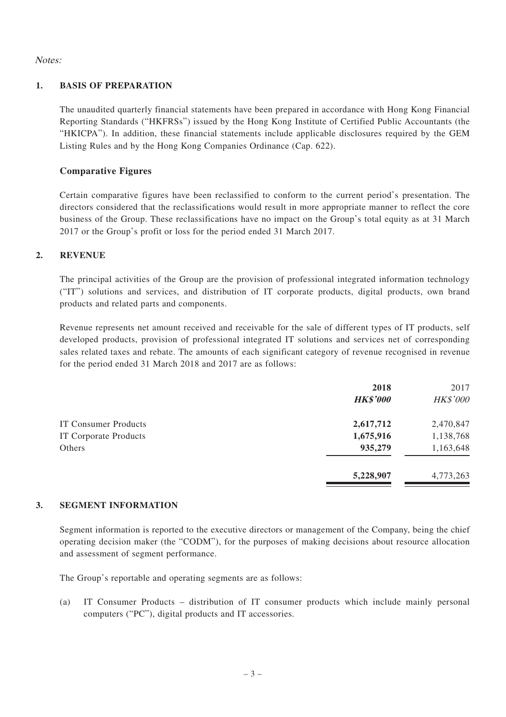Notes:

#### **1. BASIS OF PREPARATION**

The unaudited quarterly financial statements have been prepared in accordance with Hong Kong Financial Reporting Standards ("HKFRSs") issued by the Hong Kong Institute of Certified Public Accountants (the "HKICPA"). In addition, these financial statements include applicable disclosures required by the GEM Listing Rules and by the Hong Kong Companies Ordinance (Cap. 622).

### **Comparative Figures**

Certain comparative figures have been reclassified to conform to the current period's presentation. The directors considered that the reclassifications would result in more appropriate manner to reflect the core business of the Group. These reclassifications have no impact on the Group's total equity as at 31 March 2017 or the Group's profit or loss for the period ended 31 March 2017.

### **2. REVENUE**

The principal activities of the Group are the provision of professional integrated information technology ("IT") solutions and services, and distribution of IT corporate products, digital products, own brand products and related parts and components.

Revenue represents net amount received and receivable for the sale of different types of IT products, self developed products, provision of professional integrated IT solutions and services net of corresponding sales related taxes and rebate. The amounts of each significant category of revenue recognised in revenue for the period ended 31 March 2018 and 2017 are as follows:

|                              | 2018<br><b>HK\$'000</b> | 2017<br><b>HK\$'000</b> |
|------------------------------|-------------------------|-------------------------|
| <b>IT Consumer Products</b>  | 2,617,712               | 2,470,847               |
| <b>IT Corporate Products</b> | 1,675,916               | 1,138,768               |
| Others                       | 935,279                 | 1,163,648               |
|                              | 5,228,907               | 4,773,263               |
|                              |                         |                         |

#### **3. SEGMENT INFORMATION**

Segment information is reported to the executive directors or management of the Company, being the chief operating decision maker (the "CODM"), for the purposes of making decisions about resource allocation and assessment of segment performance.

The Group's reportable and operating segments are as follows:

(a) IT Consumer Products – distribution of IT consumer products which include mainly personal computers ("PC"), digital products and IT accessories.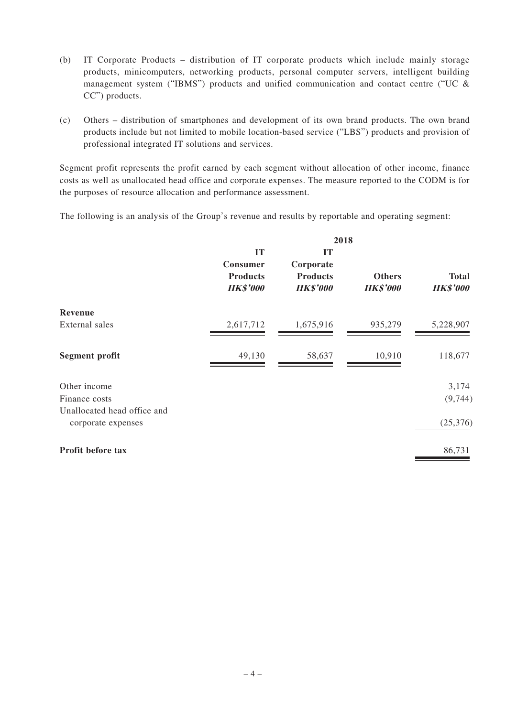- (b) IT Corporate Products distribution of IT corporate products which include mainly storage products, minicomputers, networking products, personal computer servers, intelligent building management system ("IBMS") products and unified communication and contact centre ("UC  $\&$ CC") products.
- (c) Others distribution of smartphones and development of its own brand products. The own brand products include but not limited to mobile location-based service ("LBS") products and provision of professional integrated IT solutions and services.

Segment profit represents the profit earned by each segment without allocation of other income, finance costs as well as unallocated head office and corporate expenses. The measure reported to the CODM is for the purposes of resource allocation and performance assessment.

The following is an analysis of the Group's revenue and results by reportable and operating segment:

|                                                   |                                                      | 2018                                                  |                                  |                                 |
|---------------------------------------------------|------------------------------------------------------|-------------------------------------------------------|----------------------------------|---------------------------------|
|                                                   | IT<br>Consumer<br><b>Products</b><br><b>HK\$'000</b> | IT<br>Corporate<br><b>Products</b><br><b>HK\$'000</b> | <b>Others</b><br><b>HK\$'000</b> | <b>Total</b><br><b>HK\$'000</b> |
| Revenue                                           |                                                      |                                                       |                                  |                                 |
| External sales                                    | 2,617,712                                            | 1,675,916                                             | 935,279                          | 5,228,907                       |
| Segment profit                                    | 49,130                                               | 58,637                                                | 10,910                           | 118,677                         |
| Other income                                      |                                                      |                                                       |                                  | 3,174                           |
| Finance costs                                     |                                                      |                                                       |                                  | (9, 744)                        |
| Unallocated head office and<br>corporate expenses |                                                      |                                                       |                                  | (25, 376)                       |
| Profit before tax                                 |                                                      |                                                       |                                  | 86,731                          |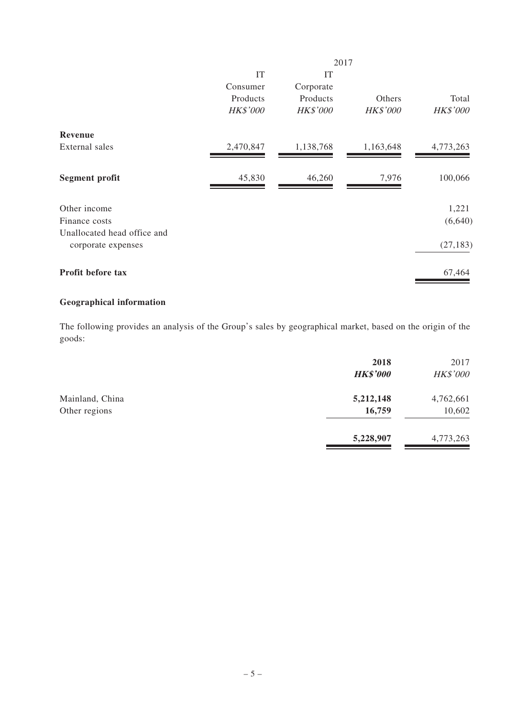|                                                   |                 |                 | 2017            |                 |
|---------------------------------------------------|-----------------|-----------------|-----------------|-----------------|
|                                                   | IT              | IT              |                 |                 |
|                                                   | Consumer        | Corporate       |                 |                 |
|                                                   | Products        | Products        | Others          | Total           |
|                                                   | <b>HK\$'000</b> | <b>HK\$'000</b> | <b>HK\$'000</b> | <b>HK\$'000</b> |
| Revenue                                           |                 |                 |                 |                 |
| External sales                                    | 2,470,847       | 1,138,768       | 1,163,648       | 4,773,263       |
| Segment profit                                    | 45,830          | 46,260          | 7,976           | 100,066         |
| Other income                                      |                 |                 |                 | 1,221           |
| Finance costs                                     |                 |                 |                 | (6,640)         |
| Unallocated head office and<br>corporate expenses |                 |                 |                 | (27, 183)       |
| Profit before tax                                 |                 |                 |                 | 67,464          |
|                                                   |                 |                 |                 |                 |

# **Geographical information**

The following provides an analysis of the Group's sales by geographical market, based on the origin of the goods:

|                                  | 2018<br><b>HK\$'000</b> | 2017<br><b>HK\$'000</b> |
|----------------------------------|-------------------------|-------------------------|
| Mainland, China<br>Other regions | 5,212,148<br>16,759     | 4,762,661<br>10,602     |
|                                  | 5,228,907               | 4,773,263               |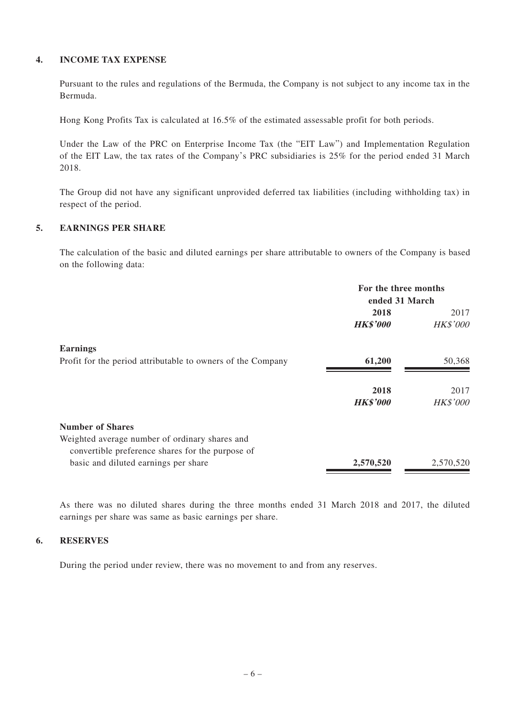### **4. INCOME TAX EXPENSE**

Pursuant to the rules and regulations of the Bermuda, the Company is not subject to any income tax in the Bermuda.

Hong Kong Profits Tax is calculated at 16.5% of the estimated assessable profit for both periods.

Under the Law of the PRC on Enterprise Income Tax (the "EIT Law") and Implementation Regulation of the EIT Law, the tax rates of the Company's PRC subsidiaries is 25% for the period ended 31 March 2018.

The Group did not have any significant unprovided deferred tax liabilities (including withholding tax) in respect of the period.

### **5. EARNINGS PER SHARE**

The calculation of the basic and diluted earnings per share attributable to owners of the Company is based on the following data:

|                                                             | For the three months<br>ended 31 March |                 |
|-------------------------------------------------------------|----------------------------------------|-----------------|
|                                                             | 2018                                   | 2017            |
|                                                             | <b>HK\$'000</b>                        | <b>HK\$'000</b> |
| Earnings                                                    |                                        |                 |
| Profit for the period attributable to owners of the Company | 61,200                                 | 50,368          |
|                                                             | 2018                                   | 2017            |
|                                                             | <b>HK\$'000</b>                        | <b>HK\$'000</b> |
| <b>Number of Shares</b>                                     |                                        |                 |
| Weighted average number of ordinary shares and              |                                        |                 |
| convertible preference shares for the purpose of            |                                        |                 |
| basic and diluted earnings per share                        | 2,570,520                              | 2,570,520       |

As there was no diluted shares during the three months ended 31 March 2018 and 2017, the diluted earnings per share was same as basic earnings per share.

### **6. RESERVES**

During the period under review, there was no movement to and from any reserves.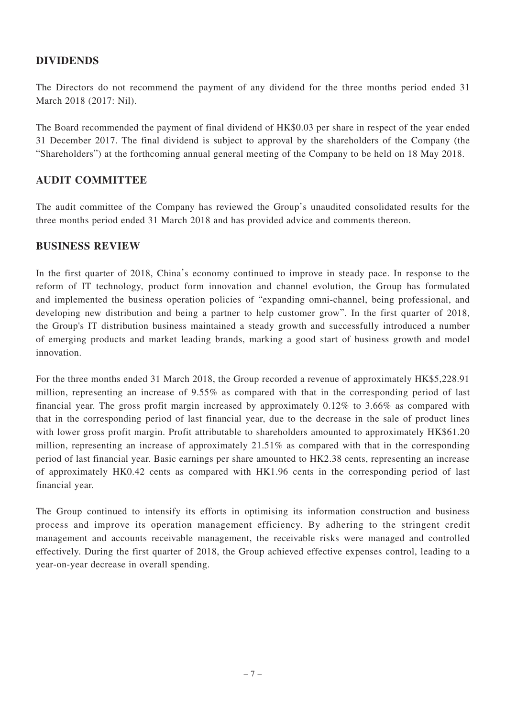## **DIVIDENDS**

The Directors do not recommend the payment of any dividend for the three months period ended 31 March 2018 (2017: Nil).

The Board recommended the payment of final dividend of HK\$0.03 per share in respect of the year ended 31 December 2017. The final dividend is subject to approval by the shareholders of the Company (the "Shareholders") at the forthcoming annual general meeting of the Company to be held on 18 May 2018.

### **AUDIT COMMITTEE**

The audit committee of the Company has reviewed the Group's unaudited consolidated results for the three months period ended 31 March 2018 and has provided advice and comments thereon.

### **BUSINESS REVIEW**

In the first quarter of 2018, China's economy continued to improve in steady pace. In response to the reform of IT technology, product form innovation and channel evolution, the Group has formulated and implemented the business operation policies of "expanding omni-channel, being professional, and developing new distribution and being a partner to help customer grow". In the first quarter of 2018, the Group's IT distribution business maintained a steady growth and successfully introduced a number of emerging products and market leading brands, marking a good start of business growth and model innovation.

For the three months ended 31 March 2018, the Group recorded a revenue of approximately HK\$5,228.91 million, representing an increase of 9.55% as compared with that in the corresponding period of last financial year. The gross profit margin increased by approximately 0.12% to 3.66% as compared with that in the corresponding period of last financial year, due to the decrease in the sale of product lines with lower gross profit margin. Profit attributable to shareholders amounted to approximately HK\$61.20 million, representing an increase of approximately 21.51% as compared with that in the corresponding period of last financial year. Basic earnings per share amounted to HK2.38 cents, representing an increase of approximately HK0.42 cents as compared with HK1.96 cents in the corresponding period of last financial year.

The Group continued to intensify its efforts in optimising its information construction and business process and improve its operation management efficiency. By adhering to the stringent credit management and accounts receivable management, the receivable risks were managed and controlled effectively. During the first quarter of 2018, the Group achieved effective expenses control, leading to a year-on-year decrease in overall spending.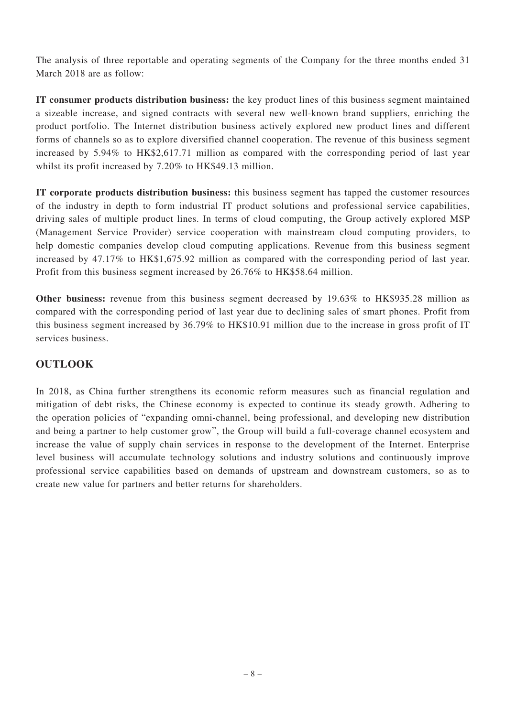The analysis of three reportable and operating segments of the Company for the three months ended 31 March 2018 are as follow:

**IT consumer products distribution business:** the key product lines of this business segment maintained a sizeable increase, and signed contracts with several new well-known brand suppliers, enriching the product portfolio. The Internet distribution business actively explored new product lines and different forms of channels so as to explore diversified channel cooperation. The revenue of this business segment increased by 5.94% to HK\$2,617.71 million as compared with the corresponding period of last year whilst its profit increased by 7.20% to HK\$49.13 million.

**IT corporate products distribution business:** this business segment has tapped the customer resources of the industry in depth to form industrial IT product solutions and professional service capabilities, driving sales of multiple product lines. In terms of cloud computing, the Group actively explored MSP (Management Service Provider) service cooperation with mainstream cloud computing providers, to help domestic companies develop cloud computing applications. Revenue from this business segment increased by 47.17% to HK\$1,675.92 million as compared with the corresponding period of last year. Profit from this business segment increased by 26.76% to HK\$58.64 million.

**Other business:** revenue from this business segment decreased by 19.63% to HK\$935.28 million as compared with the corresponding period of last year due to declining sales of smart phones. Profit from this business segment increased by 36.79% to HK\$10.91 million due to the increase in gross profit of IT services business.

# **OUTLOOK**

In 2018, as China further strengthens its economic reform measures such as financial regulation and mitigation of debt risks, the Chinese economy is expected to continue its steady growth. Adhering to the operation policies of "expanding omni-channel, being professional, and developing new distribution and being a partner to help customer grow", the Group will build a full-coverage channel ecosystem and increase the value of supply chain services in response to the development of the Internet. Enterprise level business will accumulate technology solutions and industry solutions and continuously improve professional service capabilities based on demands of upstream and downstream customers, so as to create new value for partners and better returns for shareholders.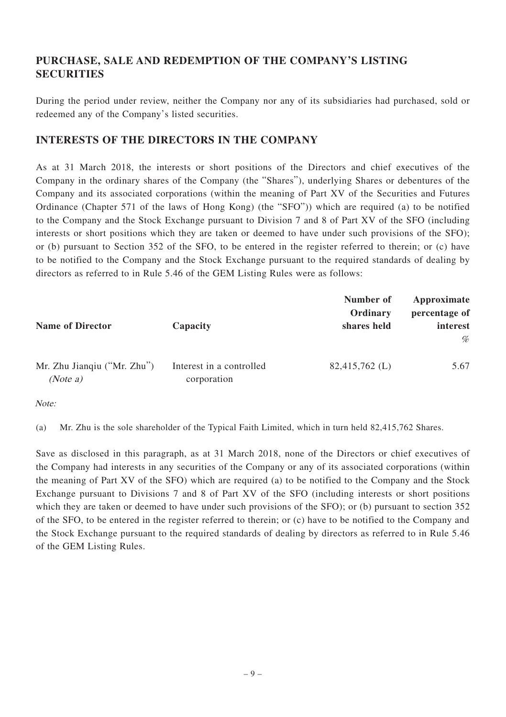# **PURCHASE, SALE AND REDEMPTION OF THE COMPANY'S LISTING SECURITIES**

During the period under review, neither the Company nor any of its subsidiaries had purchased, sold or redeemed any of the Company's listed securities.

## **INTERESTS OF THE DIRECTORS IN THE COMPANY**

As at 31 March 2018, the interests or short positions of the Directors and chief executives of the Company in the ordinary shares of the Company (the "Shares"), underlying Shares or debentures of the Company and its associated corporations (within the meaning of Part XV of the Securities and Futures Ordinance (Chapter 571 of the laws of Hong Kong) (the "SFO")) which are required (a) to be notified to the Company and the Stock Exchange pursuant to Division 7 and 8 of Part XV of the SFO (including interests or short positions which they are taken or deemed to have under such provisions of the SFO); or (b) pursuant to Section 352 of the SFO, to be entered in the register referred to therein; or (c) have to be notified to the Company and the Stock Exchange pursuant to the required standards of dealing by directors as referred to in Rule 5.46 of the GEM Listing Rules were as follows:

| <b>Name of Director</b>                 | Capacity                                | Number of<br>Ordinary<br>shares held | Approximate<br>percentage of<br>interest<br>% |
|-----------------------------------------|-----------------------------------------|--------------------------------------|-----------------------------------------------|
| Mr. Zhu Jiangiu ("Mr. Zhu")<br>(Note a) | Interest in a controlled<br>corporation | 82,415,762 (L)                       | 5.67                                          |

Note:

(a) Mr. Zhu is the sole shareholder of the Typical Faith Limited, which in turn held 82,415,762 Shares.

Save as disclosed in this paragraph, as at 31 March 2018, none of the Directors or chief executives of the Company had interests in any securities of the Company or any of its associated corporations (within the meaning of Part XV of the SFO) which are required (a) to be notified to the Company and the Stock Exchange pursuant to Divisions 7 and 8 of Part XV of the SFO (including interests or short positions which they are taken or deemed to have under such provisions of the SFO); or (b) pursuant to section 352 of the SFO, to be entered in the register referred to therein; or (c) have to be notified to the Company and the Stock Exchange pursuant to the required standards of dealing by directors as referred to in Rule 5.46 of the GEM Listing Rules.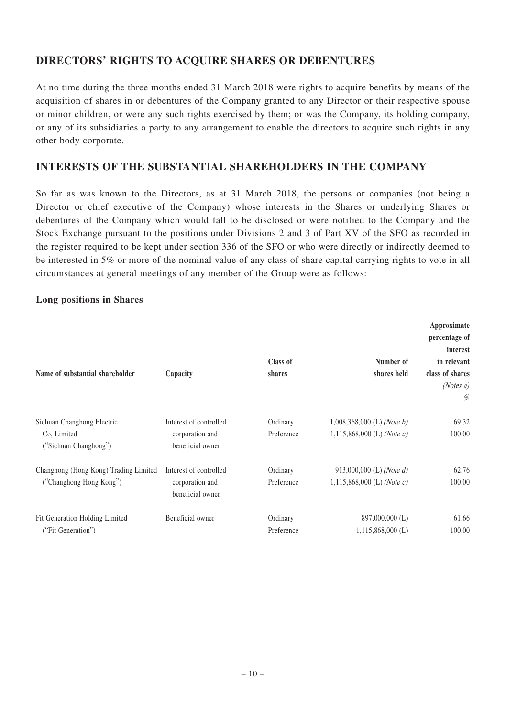# **DIRECTORS' RIGHTS TO ACQUIRE SHARES OR DEBENTURES**

At no time during the three months ended 31 March 2018 were rights to acquire benefits by means of the acquisition of shares in or debentures of the Company granted to any Director or their respective spouse or minor children, or were any such rights exercised by them; or was the Company, its holding company, or any of its subsidiaries a party to any arrangement to enable the directors to acquire such rights in any other body corporate.

# **INTERESTS OF THE SUBSTANTIAL SHAREHOLDERS IN THE COMPANY**

So far as was known to the Directors, as at 31 March 2018, the persons or companies (not being a Director or chief executive of the Company) whose interests in the Shares or underlying Shares or debentures of the Company which would fall to be disclosed or were notified to the Company and the Stock Exchange pursuant to the positions under Divisions 2 and 3 of Part XV of the SFO as recorded in the register required to be kept under section 336 of the SFO or who were directly or indirectly deemed to be interested in 5% or more of the nominal value of any class of share capital carrying rights to vote in all circumstances at general meetings of any member of the Group were as follows:

### **Long positions in Shares**

| Name of substantial shareholder                                    | Capacity                                                      | Class of<br>shares     | Number of<br>shares held                                   | Approximate<br>percentage of<br>interest<br>in relevant<br>class of shares<br>(Notes a)<br>% |
|--------------------------------------------------------------------|---------------------------------------------------------------|------------------------|------------------------------------------------------------|----------------------------------------------------------------------------------------------|
| Sichuan Changhong Electric<br>Co, Limited<br>("Sichuan Changhong") | Interest of controlled<br>corporation and<br>beneficial owner | Ordinary<br>Preference | $1,008,368,000$ (L) (Note b)<br>1,115,868,000 (L) (Note c) | 69.32<br>100.00                                                                              |
| Changhong (Hong Kong) Trading Limited<br>("Changhong Hong Kong")   | Interest of controlled<br>corporation and<br>beneficial owner | Ordinary<br>Preference | 913,000,000 (L) (Note d)<br>1,115,868,000 (L) (Note c)     | 62.76<br>100.00                                                                              |
| Fit Generation Holding Limited<br>("Fit Generation")               | Beneficial owner                                              | Ordinary<br>Preference | 897,000,000 (L)<br>$1,115,868,000$ (L)                     | 61.66<br>100.00                                                                              |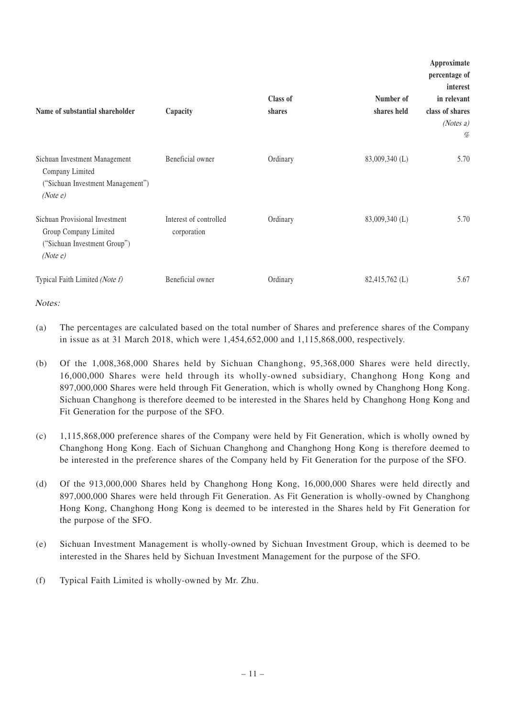| Name of substantial shareholder                                                                    | Capacity                              | Class of<br>shares | Number of<br>shares held | Approximate<br>percentage of<br>interest<br>in relevant<br>class of shares<br>(Notes a) |
|----------------------------------------------------------------------------------------------------|---------------------------------------|--------------------|--------------------------|-----------------------------------------------------------------------------------------|
| Sichuan Investment Management<br>Company Limited<br>("Sichuan Investment Management")<br>(Notee)   | Beneficial owner                      | Ordinary           | 83,009,340 (L)           | %<br>5.70                                                                               |
| Sichuan Provisional Investment<br>Group Company Limited<br>("Sichuan Investment Group")<br>(Notee) | Interest of controlled<br>corporation | Ordinary           | 83,009,340 (L)           | 5.70                                                                                    |
| Typical Faith Limited (Note f)                                                                     | Beneficial owner                      | Ordinary           | 82,415,762 (L)           | 5.67                                                                                    |

Notes:

- (a) The percentages are calculated based on the total number of Shares and preference shares of the Company in issue as at 31 March 2018, which were 1,454,652,000 and 1,115,868,000, respectively.
- (b) Of the 1,008,368,000 Shares held by Sichuan Changhong, 95,368,000 Shares were held directly, 16,000,000 Shares were held through its wholly-owned subsidiary, Changhong Hong Kong and 897,000,000 Shares were held through Fit Generation, which is wholly owned by Changhong Hong Kong. Sichuan Changhong is therefore deemed to be interested in the Shares held by Changhong Hong Kong and Fit Generation for the purpose of the SFO.
- (c) 1,115,868,000 preference shares of the Company were held by Fit Generation, which is wholly owned by Changhong Hong Kong. Each of Sichuan Changhong and Changhong Hong Kong is therefore deemed to be interested in the preference shares of the Company held by Fit Generation for the purpose of the SFO.
- (d) Of the 913,000,000 Shares held by Changhong Hong Kong, 16,000,000 Shares were held directly and 897,000,000 Shares were held through Fit Generation. As Fit Generation is wholly-owned by Changhong Hong Kong, Changhong Hong Kong is deemed to be interested in the Shares held by Fit Generation for the purpose of the SFO.
- (e) Sichuan Investment Management is wholly-owned by Sichuan Investment Group, which is deemed to be interested in the Shares held by Sichuan Investment Management for the purpose of the SFO.
- (f) Typical Faith Limited is wholly-owned by Mr. Zhu.